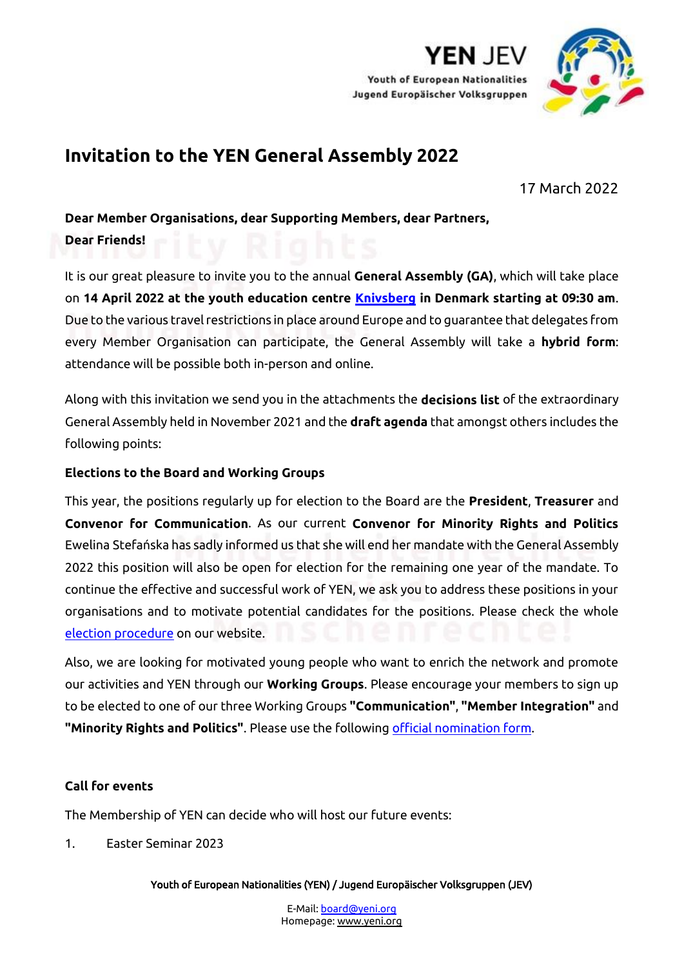

YEN JF\

# **Invitation to the YEN General Assembly 2022**

17 March 2022

**Dear Member Organisations, dear Supporting Members, dear Partners,**

**Dear Friends!**

It is our great pleasure to invite you to the annual **General Assembly (GA)**, which will take place on **14 April 2022 at the youth education centre [Knivsberg](http://knivsberg.dk/) in Denmark starting at 09:30 am**. Due to the various travel restrictions in place around Europe and to guarantee that delegates from every Member Organisation can participate, the General Assembly will take a **hybrid form**: attendance will be possible both in-person and online.

Along with this invitation we send you in the attachments the **decisions list** of the extraordinary General Assembly held in November 2021 and the **draft agenda** that amongst others includes the following points:

# **Elections to the Board and Working Groups**

This year, the positions regularly up for election to the Board are the **President**, **Treasurer** and **Convenor for Communication**. As our current **Convenor for Minority Rights and Politics**  Ewelina Stefańska has sadly informed us that she will end her mandate with the General Assembly 2022 this position will also be open for election for the remaining one year of the mandate. To continue the effective and successful work of YEN, we ask you to address these positions in your organisations and to motivate potential candidates for the positions. Please check the whole [election procedure](http://www.yeni.org/wp-content/uploads/2022/03/Election-Procedure_GA-2022_EN.pdf) on our website.

Also, we are looking for motivated young people who want to enrich the network and promote our activities and YEN through our **Working Groups**. Please encourage your members to sign up to be elected to one of our three Working Groups **"Communication"**, **"Member Integration"** and **"Minority Rights and Politics"**. Please use the followin[g official nomination form.](http://www.yeni.org/wp-content/uploads/2022/03/WG-Nomination-Form_2022_EN-DE-1.docx)

# **Call for events**

The Membership of YEN can decide who will host our future events:

1. Easter Seminar 2023

Youth of European Nationalities (YEN) / Jugend Europäischer Volksgruppen (JEV)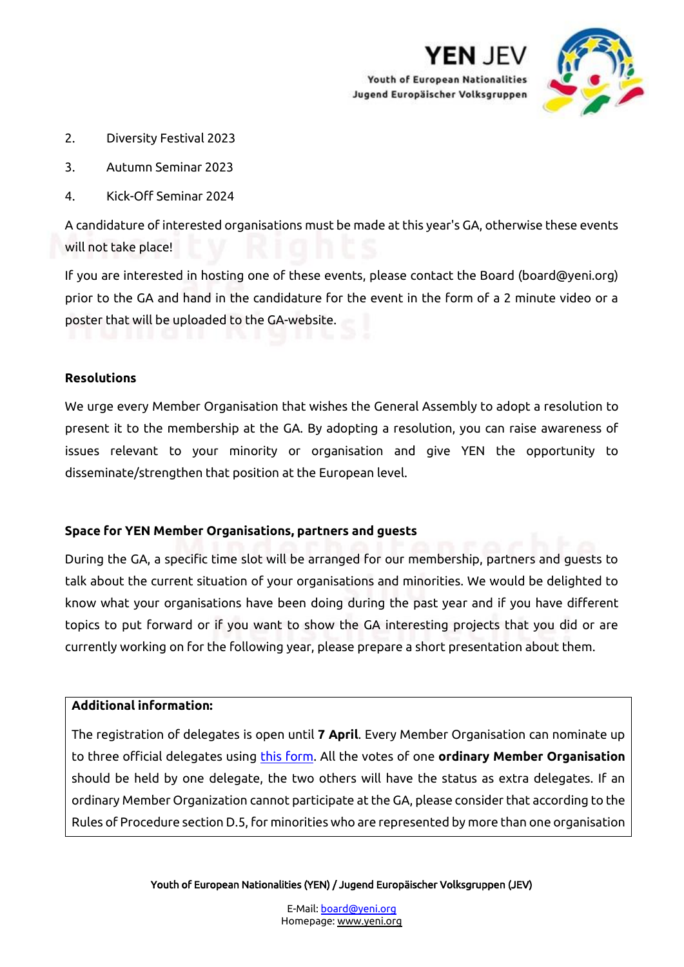



- 2. Diversity Festival 2023
- 3. Autumn Seminar 2023
- 4. Kick-Off Seminar 2024

A candidature of interested organisations must be made at this year's GA, otherwise these events will not take place!

If you are interested in hosting one of these events, please contact the Board (board@yeni.org) prior to the GA and hand in the candidature for the event in the form of a 2 minute video or a poster that will be uploaded to the GA-website.

## **Resolutions**

We urge every Member Organisation that wishes the General Assembly to adopt a resolution to present it to the membership at the GA. By adopting a resolution, you can raise awareness of issues relevant to your minority or organisation and give YEN the opportunity to disseminate/strengthen that position at the European level.

### **Space for YEN Member Organisations, partners and guests**

During the GA, a specific time slot will be arranged for our membership, partners and guests to talk about the current situation of your organisations and minorities. We would be delighted to know what your organisations have been doing during the past year and if you have different topics to put forward or if you want to show the GA interesting projects that you did or are currently working on for the following year, please prepare a short presentation about them.

### **Additional information:**

The registration of delegates is open until **7 April**. Every Member Organisation can nominate up to three official delegates using [this form.](http://www.yeni.org/wp-content/uploads/2022/03/Nomination_form_delegates-GA_EN.docx) All the votes of one **ordinary Member Organisation** should be held by one delegate, the two others will have the status as extra delegates. If an ordinary Member Organization cannot participate at the GA, please consider that according to the Rules of Procedure section D.5, for minorities who are represented by more than one organisation